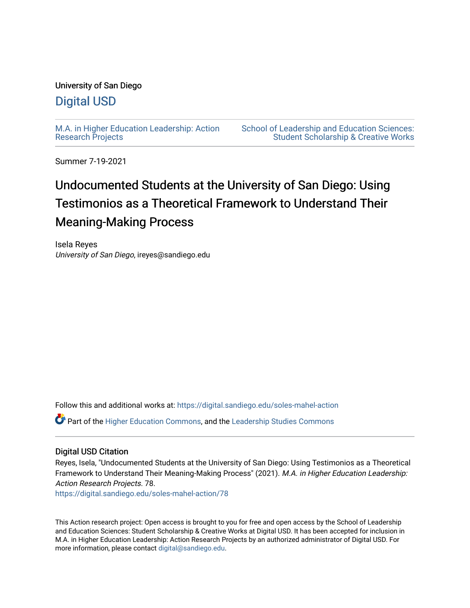# University of San Diego

# [Digital USD](https://digital.sandiego.edu/)

[M.A. in Higher Education Leadership: Action](https://digital.sandiego.edu/soles-mahel-action) [Research Projects](https://digital.sandiego.edu/soles-mahel-action) 

[School of Leadership and Education Sciences:](https://digital.sandiego.edu/soles-student)  [Student Scholarship & Creative Works](https://digital.sandiego.edu/soles-student) 

Summer 7-19-2021

# Undocumented Students at the University of San Diego: Using Testimonios as a Theoretical Framework to Understand Their Meaning-Making Process

Isela Reyes University of San Diego, ireyes@sandiego.edu

Follow this and additional works at: [https://digital.sandiego.edu/soles-mahel-action](https://digital.sandiego.edu/soles-mahel-action?utm_source=digital.sandiego.edu%2Fsoles-mahel-action%2F78&utm_medium=PDF&utm_campaign=PDFCoverPages)

Part of the [Higher Education Commons,](http://network.bepress.com/hgg/discipline/1245?utm_source=digital.sandiego.edu%2Fsoles-mahel-action%2F78&utm_medium=PDF&utm_campaign=PDFCoverPages) and the [Leadership Studies Commons](http://network.bepress.com/hgg/discipline/1250?utm_source=digital.sandiego.edu%2Fsoles-mahel-action%2F78&utm_medium=PDF&utm_campaign=PDFCoverPages)

# Digital USD Citation

Reyes, Isela, "Undocumented Students at the University of San Diego: Using Testimonios as a Theoretical Framework to Understand Their Meaning-Making Process" (2021). M.A. in Higher Education Leadership: Action Research Projects. 78.

[https://digital.sandiego.edu/soles-mahel-action/78](https://digital.sandiego.edu/soles-mahel-action/78?utm_source=digital.sandiego.edu%2Fsoles-mahel-action%2F78&utm_medium=PDF&utm_campaign=PDFCoverPages) 

This Action research project: Open access is brought to you for free and open access by the School of Leadership and Education Sciences: Student Scholarship & Creative Works at Digital USD. It has been accepted for inclusion in M.A. in Higher Education Leadership: Action Research Projects by an authorized administrator of Digital USD. For more information, please contact [digital@sandiego.edu.](mailto:digital@sandiego.edu)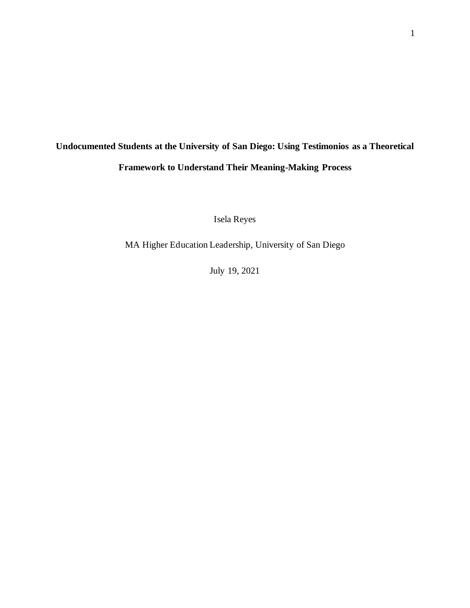# **Undocumented Students at the University of San Diego: Using Testimonios as a Theoretical Framework to Understand Their Meaning-Making Process**

Isela Reyes

MA Higher Education Leadership, University of San Diego

July 19, 2021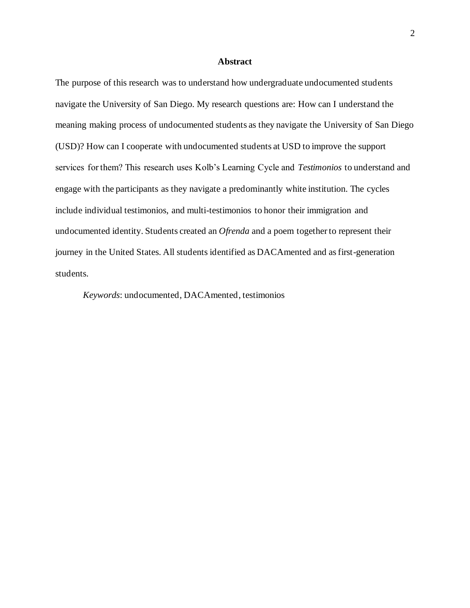## **Abstract**

The purpose of this research was to understand how undergraduate undocumented students navigate the University of San Diego. My research questions are: How can I understand the meaning making process of undocumented students as they navigate the University of San Diego (USD)? How can I cooperate with undocumented students at USD to improve the support services for them? This research uses Kolb's Learning Cycle and *Testimonios* to understand and engage with the participants as they navigate a predominantly white institution. The cycles include individual testimonios, and multi-testimonios to honor their immigration and undocumented identity. Students created an *Ofrenda* and a poem together to represent their journey in the United States. All students identified as DACAmented and as first-generation students.

*Keywords*: undocumented, DACAmented, testimonios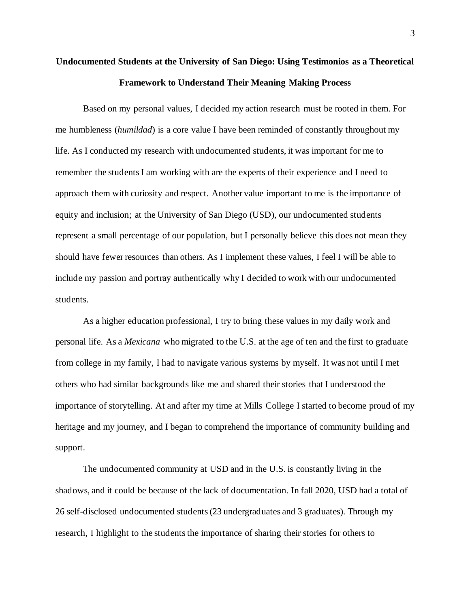# **Undocumented Students at the University of San Diego: Using Testimonios as a Theoretical Framework to Understand Their Meaning Making Process**

Based on my personal values, I decided my action research must be rooted in them. For me humbleness (*humildad*) is a core value I have been reminded of constantly throughout my life. As I conducted my research with undocumented students, it was important for me to remember the students I am working with are the experts of their experience and I need to approach them with curiosity and respect. Another value important to me is the importance of equity and inclusion; at the University of San Diego (USD), our undocumented students represent a small percentage of our population, but I personally believe this does not mean they should have fewer resources than others. As I implement these values, I feel I will be able to include my passion and portray authentically why I decided to work with our undocumented students.

As a higher education professional, I try to bring these values in my daily work and personal life. As a *Mexicana* who migrated to the U.S. at the age of ten and the first to graduate from college in my family, I had to navigate various systems by myself. It was not until I met others who had similar backgrounds like me and shared their stories that I understood the importance of storytelling. At and after my time at Mills College I started to become proud of my heritage and my journey, and I began to comprehend the importance of community building and support.

The undocumented community at USD and in the U.S. is constantly living in the shadows, and it could be because of the lack of documentation. In fall 2020, USD had a total of 26 self-disclosed undocumented students (23 undergraduates and 3 graduates). Through my research, I highlight to the students the importance of sharing their stories for others to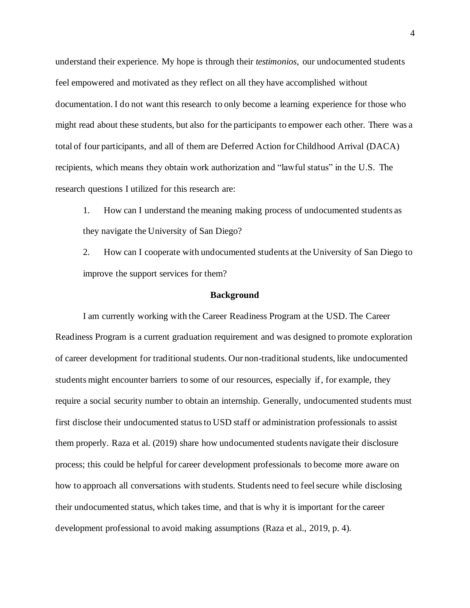understand their experience. My hope is through their *testimonios*, our undocumented students feel empowered and motivated as they reflect on all they have accomplished without documentation. I do not want this research to only become a learning experience for those who might read about these students, but also for the participants to empower each other. There was a total of four participants, and all of them are Deferred Action for Childhood Arrival (DACA) recipients, which means they obtain work authorization and "lawful status" in the U.S. The research questions I utilized for this research are:

1. How can I understand the meaning making process of undocumented students as they navigate the University of San Diego?

2. How can I cooperate with undocumented students at the University of San Diego to improve the support services for them?

## **Background**

I am currently working with the Career Readiness Program at the USD. The Career Readiness Program is a current graduation requirement and was designed to promote exploration of career development for traditional students. Our non-traditional students, like undocumented students might encounter barriers to some of our resources, especially if, for example, they require a social security number to obtain an internship. Generally, undocumented students must first disclose their undocumented status to USD staff or administration professionals to assist them properly. Raza et al. (2019) share how undocumented students navigate their disclosure process; this could be helpful for career development professionals to become more aware on how to approach all conversations with students. Students need to feel secure while disclosing their undocumented status, which takes time, and that is why it is important for the career development professional to avoid making assumptions (Raza et al., 2019, p. 4).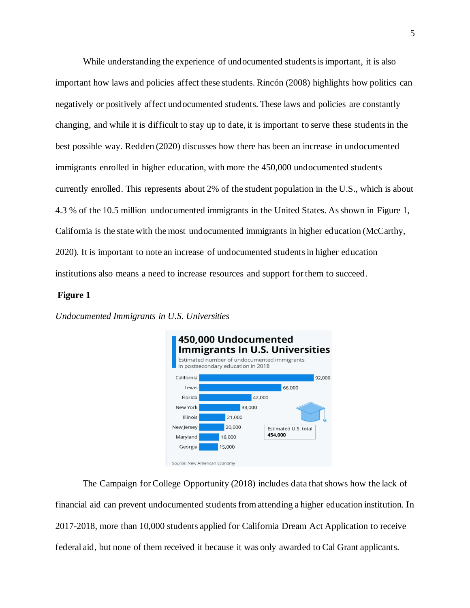While understanding the experience of undocumented students is important, it is also important how laws and policies affect these students. Rincón (2008) highlights how politics can negatively or positively affect undocumented students. These laws and policies are constantly changing, and while it is difficult to stay up to date, it is important to serve these students in the best possible way. Redden (2020) discusses how there has been an increase in undocumented immigrants enrolled in higher education, with more the 450,000 undocumented students currently enrolled. This represents about 2% of the student population in the U.S., which is about 4.3 % of the 10.5 million undocumented immigrants in the United States. As shown in Figure 1, California is the state with the most undocumented immigrants in higher education (McCarthy, 2020). It is important to note an increase of undocumented students in higher education institutions also means a need to increase resources and support for them to succeed.

## **Figure 1**





The Campaign for College Opportunity (2018) includes data that shows how the lack of financial aid can prevent undocumented students from attending a higher education institution. In 2017-2018, more than 10,000 students applied for California Dream Act Application to receive federal aid, but none of them received it because it was only awarded to Cal Grant applicants.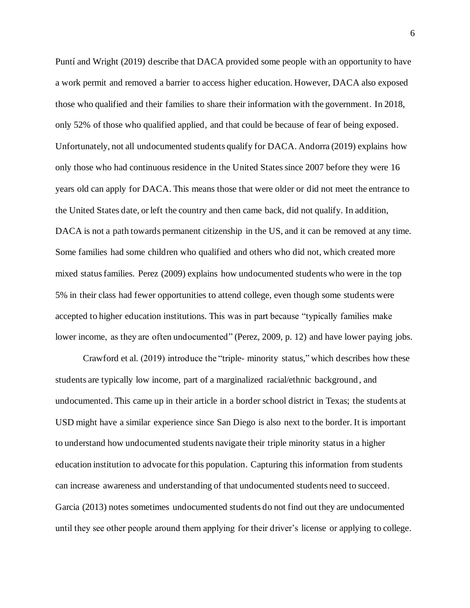Puntí and Wright (2019) describe that DACA provided some people with an opportunity to have a work permit and removed a barrier to access higher education. However, DACA also exposed those who qualified and their families to share their information with the government. In 2018, only 52% of those who qualified applied, and that could be because of fear of being exposed. Unfortunately, not all undocumented students qualify for DACA. Andorra (2019) explains how only those who had continuous residence in the United States since 2007 before they were 16 years old can apply for DACA. This means those that were older or did not meet the entrance to the United States date, or left the country and then came back, did not qualify. In addition, DACA is not a path towards permanent citizenship in the US, and it can be removed at any time. Some families had some children who qualified and others who did not, which created more mixed status families. Perez (2009) explains how undocumented students who were in the top 5% in their class had fewer opportunities to attend college, even though some students were accepted to higher education institutions. This was in part because "typically families make lower income, as they are often undocumented" (Perez, 2009, p. 12) and have lower paying jobs.

Crawford et al. (2019) introduce the "triple- minority status," which describes how these students are typically low income, part of a marginalized racial/ethnic background, and undocumented. This came up in their article in a border school district in Texas; the students at USD might have a similar experience since San Diego is also next to the border. It is important to understand how undocumented students navigate their triple minority status in a higher education institution to advocate for this population. Capturing this information from students can increase awareness and understanding of that undocumented students need to succeed. Garcia (2013) notes sometimes undocumented students do not find out they are undocumented until they see other people around them applying for their driver's license or applying to college.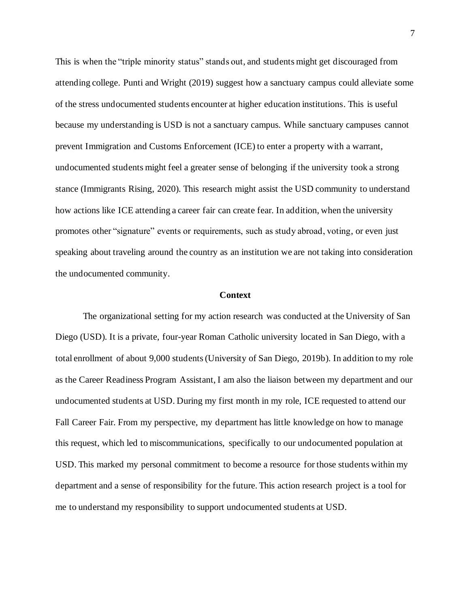This is when the "triple minority status" stands out, and students might get discouraged from attending college. Punti and Wright (2019) suggest how a sanctuary campus could alleviate some of the stress undocumented students encounter at higher education institutions. This is useful because my understanding is USD is not a sanctuary campus. While sanctuary campuses cannot prevent Immigration and Customs Enforcement (ICE) to enter a property with a warrant, undocumented students might feel a greater sense of belonging if the university took a strong stance (Immigrants Rising, 2020). This research might assist the USD community to understand how actions like ICE attending a career fair can create fear. In addition, when the university promotes other "signature" events or requirements, such as study abroad, voting, or even just speaking about traveling around the country as an institution we are not taking into consideration the undocumented community.

## **Context**

The organizational setting for my action research was conducted at the University of San Diego (USD). It is a private, four-year Roman Catholic university located in San Diego, with a total enrollment of about 9,000 students (University of San Diego, 2019b). In addition to my role as the Career Readiness Program Assistant, I am also the liaison between my department and our undocumented students at USD. During my first month in my role, ICE requested to attend our Fall Career Fair. From my perspective, my department has little knowledge on how to manage this request, which led to miscommunications, specifically to our undocumented population at USD. This marked my personal commitment to become a resource for those students within my department and a sense of responsibility for the future. This action research project is a tool for me to understand my responsibility to support undocumented students at USD.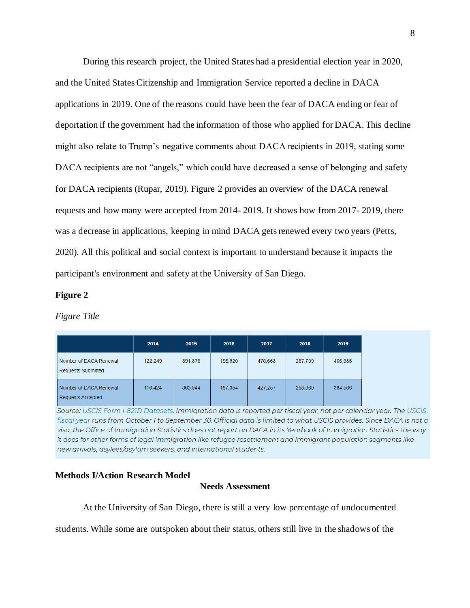During this research project, the United States had a presidential election year in 2020, and the United States Citizenship and Immigration Service reported a decline in DACA applications in 2019. One of the reasons could have been the fear of DACA ending or fear of deportation if the government had the information of those who applied for DACA. This decline might also relate to Trump's negative comments about DACA recipients in 2019, stating some DACA recipients are not "angels," which could have decreased a sense of belonging and safety for DACA recipients (Rupar, 2019). Figure 2 provides an overview of the DACA renewal requests and how many were accepted from 2014- 2019. It shows how from 2017- 2019, there was a decrease in applications, keeping in mind DACA gets renewed every two years (Petts, 2020). All this political and social context is important to understand because it impacts the participant's environment and safety at the University of San Diego.

## **Figure 2**

## *Figure Title*

|                                                     | 2014    | 2015    | 2016    | 2017    | 2018    | 2019    |
|-----------------------------------------------------|---------|---------|---------|---------|---------|---------|
| Number of DACA Renewal<br><b>Requests Submitted</b> | 122.249 | 391,878 | 198,520 | 470.668 | 287,709 | 406,586 |
| Number of DACA Renewal<br>Requests Accepted         | 116.424 | 363.544 | 187.354 | 427.257 | 258,060 | 384,586 |

Source: USCIS Form I-821D Datasets. Immigration data is reported per fiscal year, not per calendar year. The USCIS fiscal year runs from October 1 to September 30. Official data is limited to what USCIS provides. Since DACA is not a visa, the Office of Immigration Statistics does not report on DACA in its Yearbook of Immigration Statistics the way it does for other forms of legal immigration like refugee resettlement and immigrant population segments like new arrivals, asylees/asylum seekers, and international students.

# **Methods I/Action Research Model**

# **Needs Assessment**

At the University of San Diego, there is still a very low percentage of undocumented

students. While some are outspoken about their status, others still live in the shadows of the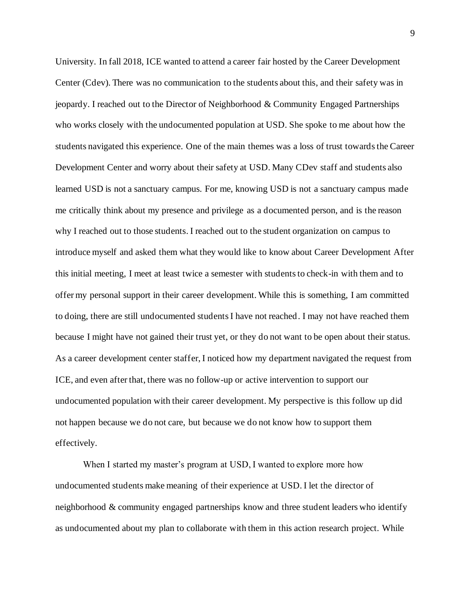University. In fall 2018, ICE wanted to attend a career fair hosted by the Career Development Center (Cdev). There was no communication to the students about this, and their safety was in jeopardy. I reached out to the Director of Neighborhood & Community Engaged Partnerships who works closely with the undocumented population at USD. She spoke to me about how the students navigated this experience. One of the main themes was a loss of trust towards the Career Development Center and worry about their safety at USD. Many CDev staff and students also learned USD is not a sanctuary campus. For me, knowing USD is not a sanctuary campus made me critically think about my presence and privilege as a documented person, and is the reason why I reached out to those students. I reached out to the student organization on campus to introduce myself and asked them what they would like to know about Career Development After this initial meeting, I meet at least twice a semester with students to check-in with them and to offer my personal support in their career development. While this is something, I am committed to doing, there are still undocumented students I have not reached. I may not have reached them because I might have not gained their trust yet, or they do not want to be open about their status. As a career development center staffer, I noticed how my department navigated the request from ICE, and even after that, there was no follow-up or active intervention to support our undocumented population with their career development. My perspective is this follow up did not happen because we do not care, but because we do not know how to support them effectively.

When I started my master's program at USD, I wanted to explore more how undocumented students make meaning of their experience at USD. I let the director of neighborhood & community engaged partnerships know and three student leaders who identify as undocumented about my plan to collaborate with them in this action research project. While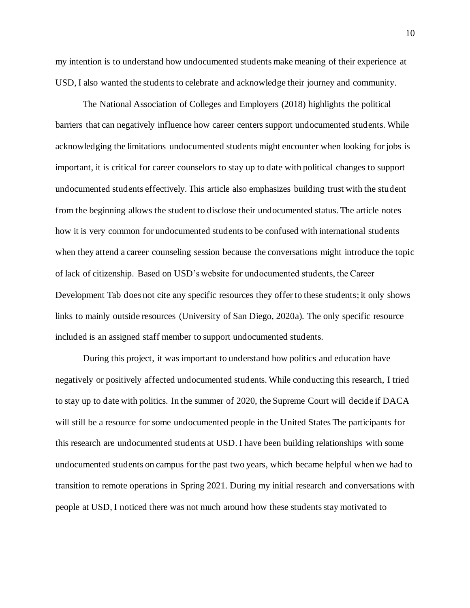my intention is to understand how undocumented students make meaning of their experience at USD, I also wanted the students to celebrate and acknowledge their journey and community.

The National Association of Colleges and Employers (2018) highlights the political barriers that can negatively influence how career centers support undocumented students. While acknowledging the limitations undocumented students might encounter when looking for jobs is important, it is critical for career counselors to stay up to date with political changes to support undocumented students effectively. This article also emphasizes building trust with the student from the beginning allows the student to disclose their undocumented status. The article notes how it is very common for undocumented students to be confused with international students when they attend a career counseling session because the conversations might introduce the topic of lack of citizenship. Based on USD's website for undocumented students, the Career Development Tab does not cite any specific resources they offer to these students; it only shows links to mainly outside resources (University of San Diego, 2020a). The only specific resource included is an assigned staff member to support undocumented students.

During this project, it was important to understand how politics and education have negatively or positively affected undocumented students. While conducting this research, I tried to stay up to date with politics. In the summer of 2020, the Supreme Court will decide if DACA will still be a resource for some undocumented people in the United States The participants for this research are undocumented students at USD. I have been building relationships with some undocumented students on campus for the past two years, which became helpful when we had to transition to remote operations in Spring 2021. During my initial research and conversations with people at USD, I noticed there was not much around how these students stay motivated to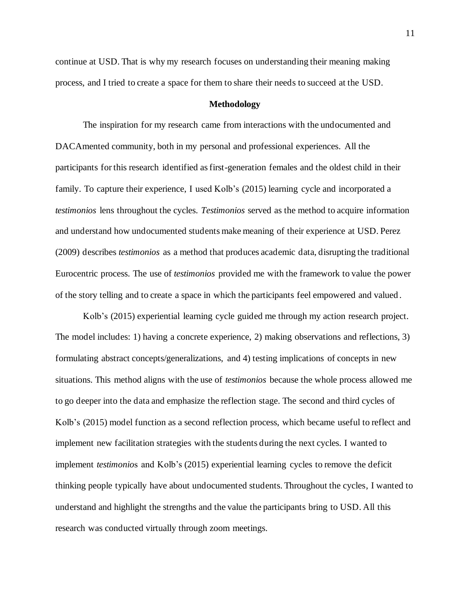continue at USD. That is why my research focuses on understanding their meaning making process, and I tried to create a space for them to share their needs to succeed at the USD.

## **Methodology**

The inspiration for my research came from interactions with the undocumented and DACAmented community, both in my personal and professional experiences. All the participants for this research identified as first-generation females and the oldest child in their family. To capture their experience, I used Kolb's (2015) learning cycle and incorporated a *testimonios* lens throughout the cycles. *Testimonios* served as the method to acquire information and understand how undocumented students make meaning of their experience at USD. Perez (2009) describes *testimonios* as a method that produces academic data, disrupting the traditional Eurocentric process. The use of *testimonios* provided me with the framework to value the power of the story telling and to create a space in which the participants feel empowered and valued .

Kolb's (2015) experiential learning cycle guided me through my action research project. The model includes: 1) having a concrete experience, 2) making observations and reflections, 3) formulating abstract concepts/generalizations, and 4) testing implications of concepts in new situations. This method aligns with the use of *testimonios* because the whole process allowed me to go deeper into the data and emphasize the reflection stage. The second and third cycles of Kolb's (2015) model function as a second reflection process, which became useful to reflect and implement new facilitation strategies with the students during the next cycles. I wanted to implement *testimonio*s and Kolb's (2015) experiential learning cycles to remove the deficit thinking people typically have about undocumented students. Throughout the cycles, I wanted to understand and highlight the strengths and the value the participants bring to USD. All this research was conducted virtually through zoom meetings.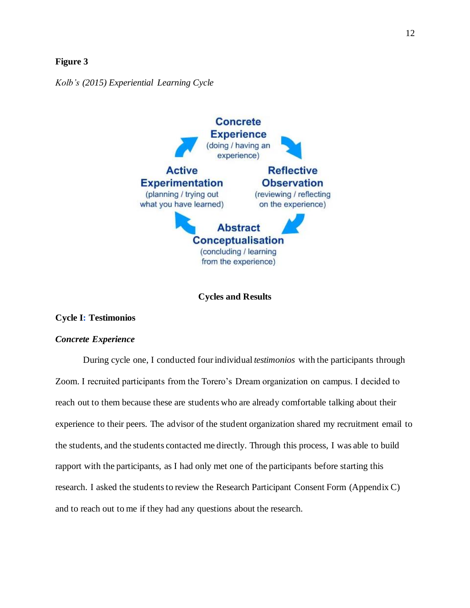## **Figure 3**

*Kolb's (2015) Experiential Learning Cycle* 



**Cycles and Results**

# **Cycle I: Testimonios**

# *Concrete Experience*

During cycle one, I conducted four individual *testimonios* with the participants through Zoom. I recruited participants from the Torero's Dream organization on campus. I decided to reach out to them because these are students who are already comfortable talking about their experience to their peers. The advisor of the student organization shared my recruitment email to the students, and the students contacted me directly. Through this process, I was able to build rapport with the participants, as I had only met one of the participants before starting this research. I asked the students to review the Research Participant Consent Form (Appendix C) and to reach out to me if they had any questions about the research.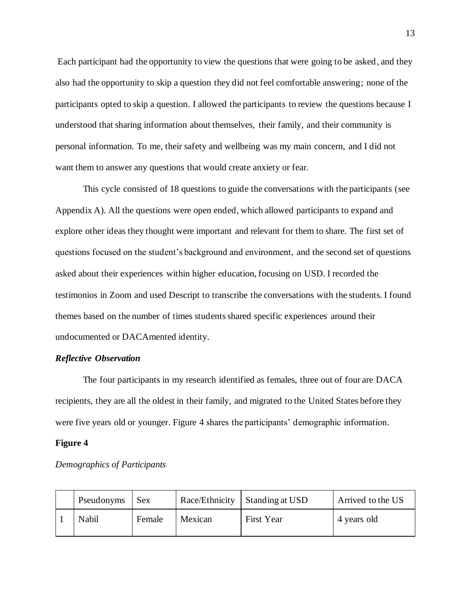Each participant had the opportunity to view the questions that were going to be asked, and they also had the opportunity to skip a question they did not feel comfortable answering; none of the participants opted to skip a question. I allowed the participants to review the questions because I understood that sharing information about themselves, their family, and their community is personal information. To me, their safety and wellbeing was my main concern, and I did not want them to answer any questions that would create anxiety or fear.

This cycle consisted of 18 questions to guide the conversations with the participants (see Appendix A). All the questions were open ended, which allowed participants to expand and explore other ideas they thought were important and relevant for them to share. The first set of questions focused on the student's background and environment, and the second set of questions asked about their experiences within higher education, focusing on USD. I recorded the testimonios in Zoom and used Descript to transcribe the conversations with the students. I found themes based on the number of times students shared specific experiences around their undocumented or DACAmented identity.

# *Reflective Observation*

The four participants in my research identified as females, three out of four are DACA recipients, they are all the oldest in their family, and migrated to the United States before they were five years old or younger. Figure 4 shares the participants' demographic information.

### **Figure 4**

*Demographics of Participants*

| Pseudonyms | <b>Sex</b> |         | Race/Ethnicity   Standing at USD | Arrived to the US |
|------------|------------|---------|----------------------------------|-------------------|
| Nabil      | Female     | Mexican | First Year                       | 4 years old       |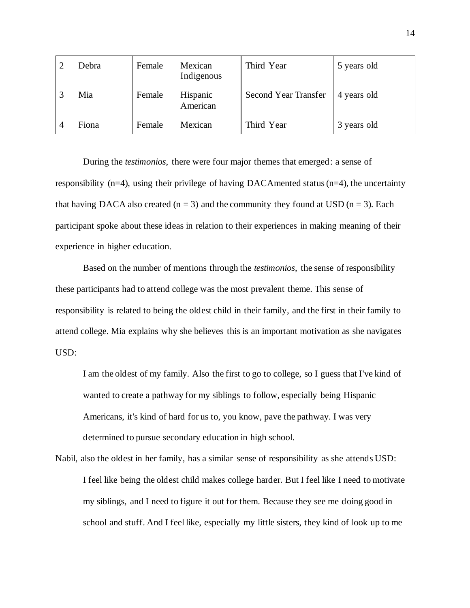|                | Debra | Female | Mexican<br>Indigenous | Third Year                  | 5 years old |
|----------------|-------|--------|-----------------------|-----------------------------|-------------|
|                | Mia   | Female | Hispanic<br>American  | <b>Second Year Transfer</b> | 4 years old |
| $\overline{4}$ | Fiona | Female | Mexican               | Third Year                  | 3 years old |

During the *testimonios*, there were four major themes that emerged: a sense of responsibility ( $n=4$ ), using their privilege of having DACAmented status ( $n=4$ ), the uncertainty that having DACA also created ( $n = 3$ ) and the community they found at USD ( $n = 3$ ). Each participant spoke about these ideas in relation to their experiences in making meaning of their experience in higher education.

Based on the number of mentions through the *testimonios*, the sense of responsibility these participants had to attend college was the most prevalent theme. This sense of responsibility is related to being the oldest child in their family, and the first in their family to attend college. Mia explains why she believes this is an important motivation as she navigates USD:

I am the oldest of my family. Also the first to go to college, so I guess that I've kind of wanted to create a pathway for my siblings to follow, especially being Hispanic Americans, it's kind of hard for us to, you know, pave the pathway. I was very determined to pursue secondary education in high school.

Nabil, also the oldest in her family, has a similar sense of responsibility as she attends USD: I feel like being the oldest child makes college harder. But I feel like I need to motivate my siblings, and I need to figure it out for them. Because they see me doing good in school and stuff. And I feel like, especially my little sisters, they kind of look up to me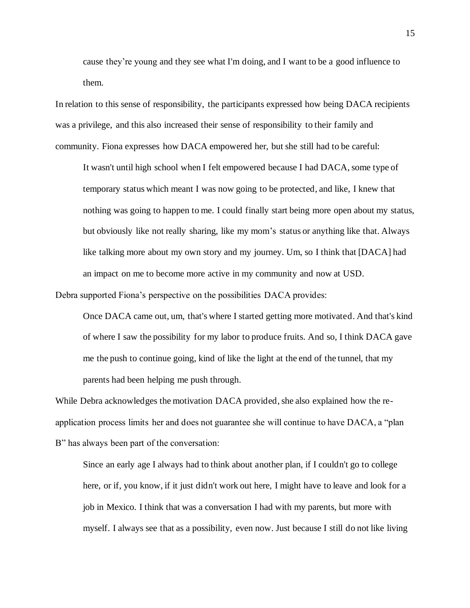cause they're young and they see what I'm doing, and I want to be a good influence to them.

In relation to this sense of responsibility, the participants expressed how being DACA recipients was a privilege, and this also increased their sense of responsibility to their family and community. Fiona expresses how DACA empowered her, but she still had to be careful:

It wasn't until high school when I felt empowered because I had DACA, some type of temporary status which meant I was now going to be protected, and like, I knew that nothing was going to happen to me. I could finally start being more open about my status, but obviously like not really sharing, like my mom's status or anything like that. Always like talking more about my own story and my journey. Um, so I think that [DACA] had an impact on me to become more active in my community and now at USD.

Debra supported Fiona's perspective on the possibilities DACA provides:

Once DACA came out, um, that's where I started getting more motivated. And that's kind of where I saw the possibility for my labor to produce fruits. And so, I think DACA gave me the push to continue going, kind of like the light at the end of the tunnel, that my parents had been helping me push through.

While Debra acknowledges the motivation DACA provided, she also explained how the reapplication process limits her and does not guarantee she will continue to have DACA, a "plan B" has always been part of the conversation:

Since an early age I always had to think about another plan, if I couldn't go to college here, or if, you know, if it just didn't work out here, I might have to leave and look for a job in Mexico. I think that was a conversation I had with my parents, but more with myself. I always see that as a possibility, even now. Just because I still do not like living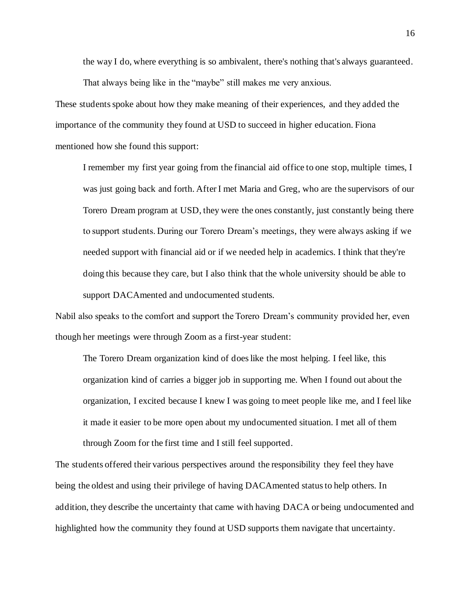the way I do, where everything is so ambivalent, there's nothing that's always guaranteed.

That always being like in the "maybe" still makes me very anxious.

These students spoke about how they make meaning of their experiences, and they added the importance of the community they found at USD to succeed in higher education. Fiona mentioned how she found this support:

I remember my first year going from the financial aid office to one stop, multiple times, I was just going back and forth. After I met Maria and Greg, who are the supervisors of our Torero Dream program at USD, they were the ones constantly, just constantly being there to support students. During our Torero Dream's meetings, they were always asking if we needed support with financial aid or if we needed help in academics. I think that they're doing this because they care, but I also think that the whole university should be able to support DACAmented and undocumented students.

Nabil also speaks to the comfort and support the Torero Dream's community provided her, even though her meetings were through Zoom as a first-year student:

The Torero Dream organization kind of does like the most helping. I feel like, this organization kind of carries a bigger job in supporting me. When I found out about the organization, I excited because I knew I was going to meet people like me, and I feel like it made it easier to be more open about my undocumented situation. I met all of them through Zoom for the first time and I still feel supported.

The students offered their various perspectives around the responsibility they feel they have being the oldest and using their privilege of having DACAmented status to help others. In addition, they describe the uncertainty that came with having DACA or being undocumented and highlighted how the community they found at USD supports them navigate that uncertainty.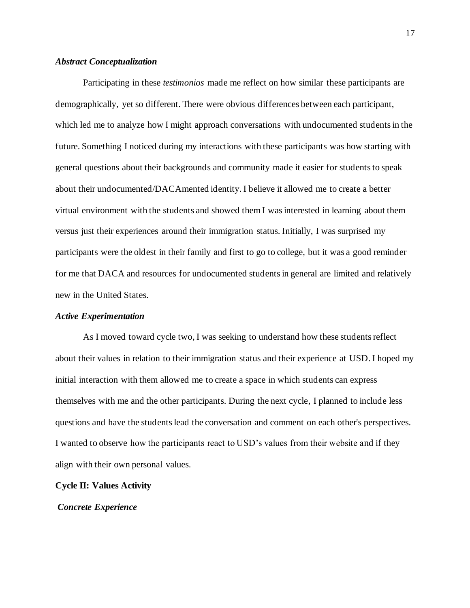## *Abstract Conceptualization*

Participating in these *testimonios* made me reflect on how similar these participants are demographically, yet so different. There were obvious differences between each participant, which led me to analyze how I might approach conversations with undocumented students in the future. Something I noticed during my interactions with these participants was how starting with general questions about their backgrounds and community made it easier for students to speak about their undocumented/DACAmented identity. I believe it allowed me to create a better virtual environment with the students and showed them I was interested in learning about them versus just their experiences around their immigration status. Initially, I was surprised my participants were the oldest in their family and first to go to college, but it was a good reminder for me that DACA and resources for undocumented students in general are limited and relatively new in the United States.

## *Active Experimentation*

As I moved toward cycle two, I was seeking to understand how these students reflect about their values in relation to their immigration status and their experience at USD. I hoped my initial interaction with them allowed me to create a space in which students can express themselves with me and the other participants. During the next cycle, I planned to include less questions and have the students lead the conversation and comment on each other's perspectives. I wanted to observe how the participants react to USD's values from their website and if they align with their own personal values.

## **Cycle II: Values Activity**

## *Concrete Experience*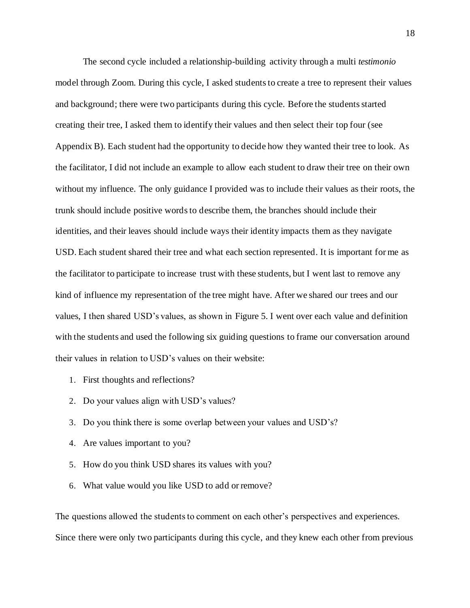The second cycle included a relationship-building activity through a multi *testimonio*  model through Zoom. During this cycle, I asked students to create a tree to represent their values and background; there were two participants during this cycle. Before the students started creating their tree, I asked them to identify their values and then select their top four (see Appendix B). Each student had the opportunity to decide how they wanted their tree to look. As the facilitator, I did not include an example to allow each student to draw their tree on their own without my influence. The only guidance I provided was to include their values as their roots, the trunk should include positive words to describe them, the branches should include their identities, and their leaves should include ways their identity impacts them as they navigate USD. Each student shared their tree and what each section represented. It is important for me as the facilitator to participate to increase trust with these students, but I went last to remove any kind of influence my representation of the tree might have. After we shared our trees and our values, I then shared USD's values, as shown in Figure 5. I went over each value and definition with the students and used the following six guiding questions to frame our conversation around their values in relation to USD's values on their website:

- 1. First thoughts and reflections?
- 2. Do your values align with USD's values?
- 3. Do you think there is some overlap between your values and USD's?
- 4. Are values important to you?
- 5. How do you think USD shares its values with you?
- 6. What value would you like USD to add or remove?

The questions allowed the students to comment on each other's perspectives and experiences. Since there were only two participants during this cycle, and they knew each other from previous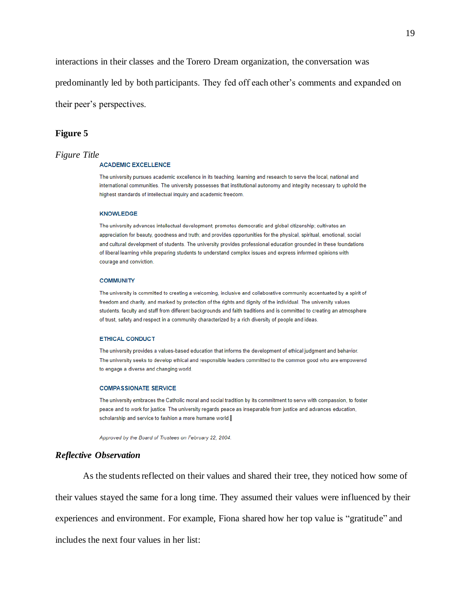interactions in their classes and the Torero Dream organization, the conversation was

predominantly led by both participants. They fed off each other's comments and expanded on

their peer's perspectives.

#### **Figure 5**

#### *Figure Title*

#### **ACADEMIC EXCELLENCE**

The university pursues academic excellence in its teaching, learning and research to serve the local, national and international communities. The university possesses that institutional autonomy and integrity necessary to uphold the highest standards of intellectual inquiry and academic freedom.

#### **KNOWLEDGE**

The university advances intellectual development; promotes democratic and global citizenship; cultivates an appreciation for beauty, goodness and truth; and provides opportunities for the physical, spiritual, emotional, social and cultural development of students. The university provides professional education grounded in these foundations of liberal learning while preparing students to understand complex issues and express informed opinions with courage and conviction.

#### **COMMUNITY**

The university is committed to creating a welcoming, inclusive and collaborative community accentuated by a spirit of freedom and charity, and marked by protection of the rights and dignity of the individual. The university values students, faculty and staff from different backgrounds and faith traditions and is committed to creating an atmosphere of trust, safety and respect in a community characterized by a rich diversity of people and ideas.

#### **ETHICAL CONDUCT**

The university provides a values-based education that informs the development of ethical judgment and behavior. The university seeks to develop ethical and responsible leaders committed to the common good who are empowered to engage a diverse and changing world.

#### **COMPASSIONATE SERVICE**

The university embraces the Catholic moral and social tradition by its commitment to serve with compassion, to foster peace and to work for justice. The university regards peace as inseparable from justice and advances education, scholarship and service to fashion a more humane world.

Approved by the Board of Trustees on February 22, 2004.

## *Reflective Observation*

As the students reflected on their values and shared their tree, they noticed how some of their values stayed the same for a long time. They assumed their values were influenced by their experiences and environment. For example, Fiona shared how her top value is "gratitude" and includes the next four values in her list: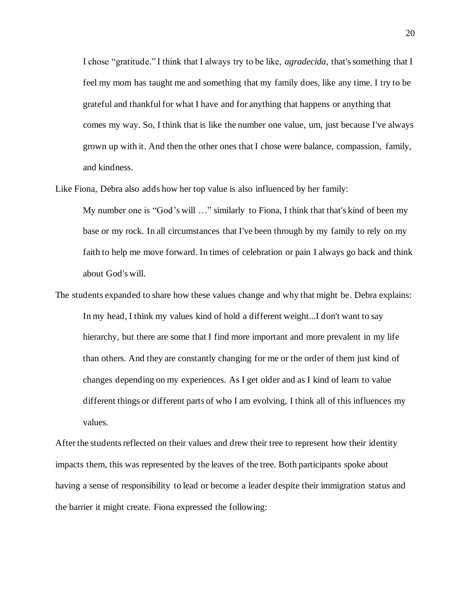I chose "gratitude." I think that I always try to be like, *agradecida,* that's something that I feel my mom has taught me and something that my family does, like any time. I try to be grateful and thankful for what I have and for anything that happens or anything that comes my way. So, I think that is like the number one value, um, just because I've always grown up with it. And then the other ones that I chose were balance, compassion, family, and kindness.

Like Fiona, Debra also adds how her top value is also influenced by her family:

My number one is "God's will …" similarly to Fiona, I think that that's kind of been my base or my rock. In all circumstances that I've been through by my family to rely on my faith to help me move forward. In times of celebration or pain I always go back and think about God's will.

The students expanded to share how these values change and why that might be. Debra explains: In my head, I think my values kind of hold a different weight...I don't want to say hierarchy, but there are some that I find more important and more prevalent in my life than others. And they are constantly changing for me or the order of them just kind of changes depending on my experiences. As I get older and as I kind of learn to value different things or different parts of who I am evolving, I think all of this influences my values.

After the students reflected on their values and drew their tree to represent how their identity impacts them, this was represented by the leaves of the tree. Both participants spoke about having a sense of responsibility to lead or become a leader despite their immigration status and the barrier it might create. Fiona expressed the following: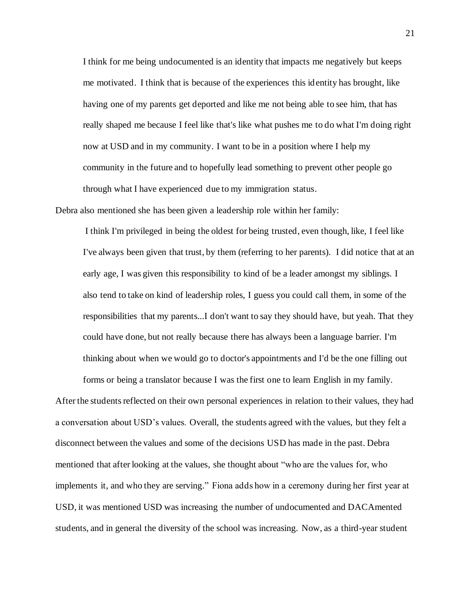I think for me being undocumented is an identity that impacts me negatively but keeps me motivated. I think that is because of the experiences this identity has brought, like having one of my parents get deported and like me not being able to see him, that has really shaped me because I feel like that's like what pushes me to do what I'm doing right now at USD and in my community. I want to be in a position where I help my community in the future and to hopefully lead something to prevent other people go through what I have experienced due to my immigration status.

Debra also mentioned she has been given a leadership role within her family:

I think I'm privileged in being the oldest for being trusted, even though, like, I feel like I've always been given that trust, by them (referring to her parents). I did notice that at an early age, I was given this responsibility to kind of be a leader amongst my siblings. I also tend to take on kind of leadership roles, I guess you could call them, in some of the responsibilities that my parents...I don't want to say they should have, but yeah. That they could have done, but not really because there has always been a language barrier. I'm thinking about when we would go to doctor's appointments and I'd be the one filling out

forms or being a translator because I was the first one to learn English in my family. After the students reflected on their own personal experiences in relation to their values, they had a conversation about USD's values. Overall, the students agreed with the values, but they felt a disconnect between the values and some of the decisions USD has made in the past. Debra mentioned that after looking at the values, she thought about "who are the values for, who implements it, and who they are serving." Fiona adds how in a ceremony during her first year at USD, it was mentioned USD was increasing the number of undocumented and DACAmented students, and in general the diversity of the school was increasing. Now, as a third-year student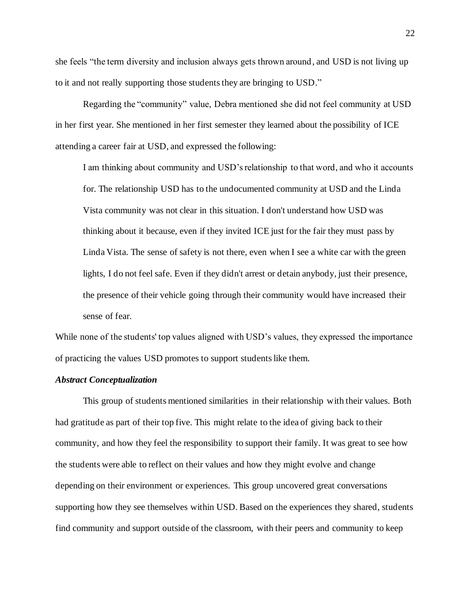she feels "the term diversity and inclusion always gets thrown around, and USD is not living up to it and not really supporting those students they are bringing to USD."

Regarding the "community" value, Debra mentioned she did not feel community at USD in her first year. She mentioned in her first semester they learned about the possibility of ICE attending a career fair at USD, and expressed the following:

I am thinking about community and USD's relationship to that word, and who it accounts for. The relationship USD has to the undocumented community at USD and the Linda Vista community was not clear in this situation. I don't understand how USD was thinking about it because, even if they invited ICE just for the fair they must pass by Linda Vista. The sense of safety is not there, even when I see a white car with the green lights, I do not feel safe. Even if they didn't arrest or detain anybody, just their presence, the presence of their vehicle going through their community would have increased their sense of fear.

While none of the students' top values aligned with USD's values, they expressed the importance of practicing the values USD promotes to support students like them.

## *Abstract Conceptualization*

This group of students mentioned similarities in their relationship with their values. Both had gratitude as part of their top five. This might relate to the idea of giving back to their community, and how they feel the responsibility to support their family. It was great to see how the students were able to reflect on their values and how they might evolve and change depending on their environment or experiences. This group uncovered great conversations supporting how they see themselves within USD. Based on the experiences they shared, students find community and support outside of the classroom, with their peers and community to keep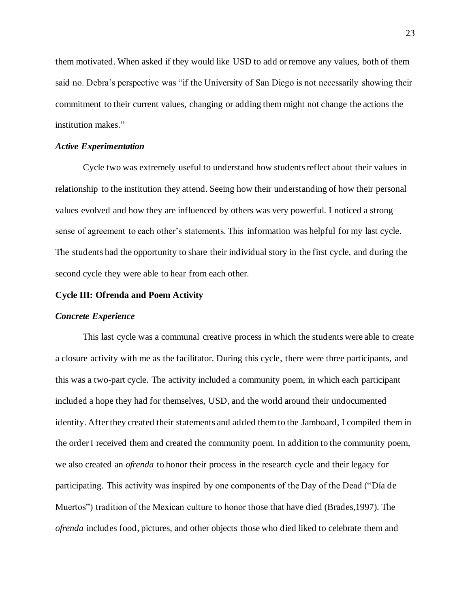them motivated. When asked if they would like USD to add or remove any values, both of them said no. Debra's perspective was "if the University of San Diego is not necessarily showing their commitment to their current values, changing or adding them might not change the actions the institution makes."

### *Active Experimentation*

Cycle two was extremely useful to understand how students reflect about their values in relationship to the institution they attend. Seeing how their understanding of how their personal values evolved and how they are influenced by others was very powerful. I noticed a strong sense of agreement to each other's statements. This information was helpful for my last cycle. The students had the opportunity to share their individual story in the first cycle, and during the second cycle they were able to hear from each other.

## **Cycle III: Ofrenda and Poem Activity**

# *Concrete Experience*

This last cycle was a communal creative process in which the students were able to create a closure activity with me as the facilitator. During this cycle, there were three participants, and this was a two-part cycle. The activity included a community poem, in which each participant included a hope they had for themselves, USD, and the world around their undocumented identity. After they created their statements and added them to the Jamboard, I compiled them in the order I received them and created the community poem. In addition to the community poem, we also created an *ofrenda* to honor their process in the research cycle and their legacy for participating. This activity was inspired by one components of the Day of the Dead ("Día de Muertos") tradition of the Mexican culture to honor those that have died (Brades,1997). The *ofrenda* includes food, pictures, and other objects those who died liked to celebrate them and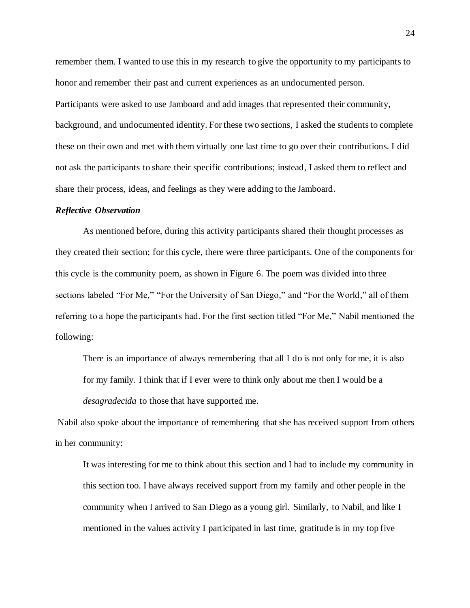remember them. I wanted to use this in my research to give the opportunity to my participants to honor and remember their past and current experiences as an undocumented person. Participants were asked to use Jamboard and add images that represented their community, background, and undocumented identity. For these two sections, I asked the students to complete these on their own and met with them virtually one last time to go over their contributions. I did not ask the participants to share their specific contributions; instead, I asked them to reflect and share their process, ideas, and feelings as they were adding to the Jamboard.

## *Reflective Observation*

As mentioned before, during this activity participants shared their thought processes as they created their section; for this cycle, there were three participants. One of the components for this cycle is the community poem, as shown in Figure 6. The poem was divided into three sections labeled "For Me," "For the University of San Diego," and "For the World," all of them referring to a hope the participants had. For the first section titled "For Me," Nabil mentioned the following:

There is an importance of always remembering that all I do is not only for me, it is also for my family. I think that if I ever were to think only about me then I would be a *desagradecida* to those that have supported me.

Nabil also spoke about the importance of remembering that she has received support from others in her community:

It was interesting for me to think about this section and I had to include my community in this section too. I have always received support from my family and other people in the community when I arrived to San Diego as a young girl. Similarly, to Nabil, and like I mentioned in the values activity I participated in last time, gratitude is in my top five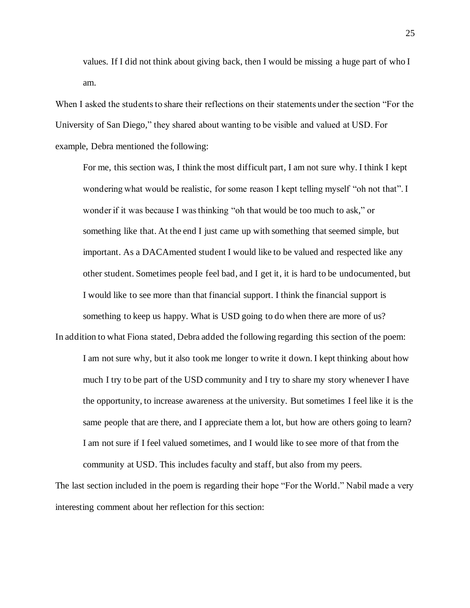values. If I did not think about giving back, then I would be missing a huge part of who I am.

When I asked the students to share their reflections on their statements under the section "For the University of San Diego," they shared about wanting to be visible and valued at USD. For example, Debra mentioned the following:

For me, this section was, I think the most difficult part, I am not sure why. I think I kept wondering what would be realistic, for some reason I kept telling myself "oh not that". I wonder if it was because I was thinking "oh that would be too much to ask," or something like that. At the end I just came up with something that seemed simple, but important. As a DACAmented student I would like to be valued and respected like any other student. Sometimes people feel bad, and I get it, it is hard to be undocumented, but I would like to see more than that financial support. I think the financial support is something to keep us happy. What is USD going to do when there are more of us?

In addition to what Fiona stated, Debra added the following regarding this section of the poem: I am not sure why, but it also took me longer to write it down. I kept thinking about how much I try to be part of the USD community and I try to share my story whenever I have the opportunity, to increase awareness at the university. But sometimes I feel like it is the same people that are there, and I appreciate them a lot, but how are others going to learn? I am not sure if I feel valued sometimes, and I would like to see more of that from the community at USD. This includes faculty and staff, but also from my peers.

The last section included in the poem is regarding their hope "For the World." Nabil made a very interesting comment about her reflection for this section: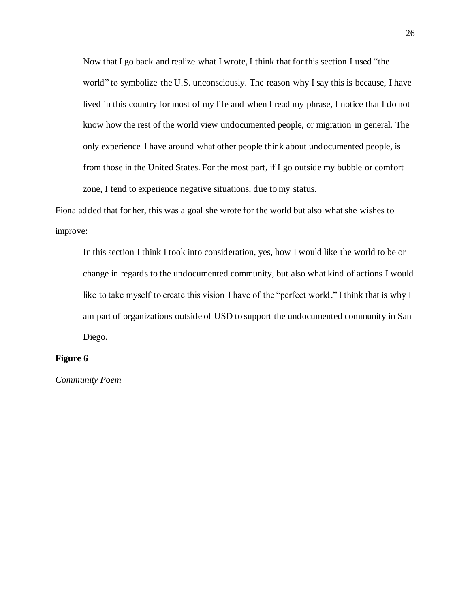Now that I go back and realize what I wrote, I think that for this section I used "the world" to symbolize the U.S. unconsciously. The reason why I say this is because, I have lived in this country for most of my life and when I read my phrase, I notice that I do not know how the rest of the world view undocumented people, or migration in general. The only experience I have around what other people think about undocumented people, is from those in the United States. For the most part, if I go outside my bubble or comfort zone, I tend to experience negative situations, due to my status.

Fiona added that for her, this was a goal she wrote for the world but also what she wishes to improve:

In this section I think I took into consideration, yes, how I would like the world to be or change in regards to the undocumented community, but also what kind of actions I would like to take myself to create this vision I have of the "perfect world." I think that is why I am part of organizations outside of USD to support the undocumented community in San Diego.

## **Figure 6**

*Community Poem*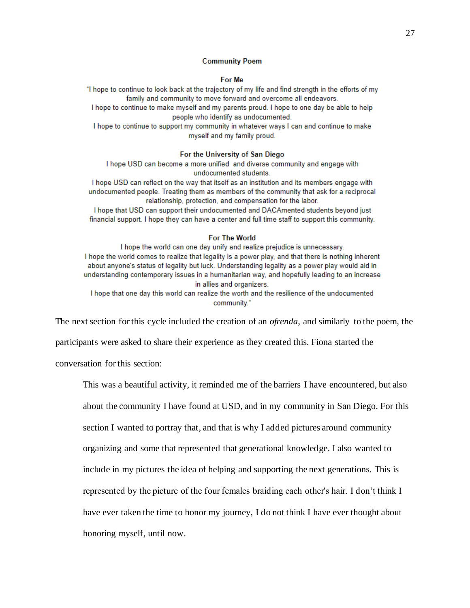#### **Community Poem**

#### For Me

"I hope to continue to look back at the trajectory of my life and find strength in the efforts of my family and community to move forward and overcome all endeavors.

I hope to continue to make myself and my parents proud. I hope to one day be able to help people who identify as undocumented.

I hope to continue to support my community in whatever ways I can and continue to make myself and my family proud.

#### For the University of San Diego

I hope USD can become a more unified and diverse community and engage with undocumented students.

I hope USD can reflect on the way that itself as an institution and its members engage with undocumented people. Treating them as members of the community that ask for a reciprocal relationship, protection, and compensation for the labor.

I hope that USD can support their undocumented and DACAmented students beyond just financial support. I hope they can have a center and full time staff to support this community.

#### For The World

I hope the world can one day unify and realize prejudice is unnecessary. I hope the world comes to realize that legality is a power play, and that there is nothing inherent about anyone's status of legality but luck. Understanding legality as a power play would aid in understanding contemporary issues in a humanitarian way, and hopefully leading to an increase in allies and organizers. I hope that one day this world can realize the worth and the resilience of the undocumented

community."

The next section for this cycle included the creation of an *ofrenda*, and similarly to the poem, the

participants were asked to share their experience as they created this. Fiona started the

conversation for this section:

This was a beautiful activity, it reminded me of the barriers I have encountered, but also about the community I have found at USD, and in my community in San Diego. For this section I wanted to portray that, and that is why I added pictures around community organizing and some that represented that generational knowledge. I also wanted to include in my pictures the idea of helping and supporting the next generations. This is represented by the picture of the four females braiding each other's hair. I don't think I have ever taken the time to honor my journey, I do not think I have ever thought about honoring myself, until now.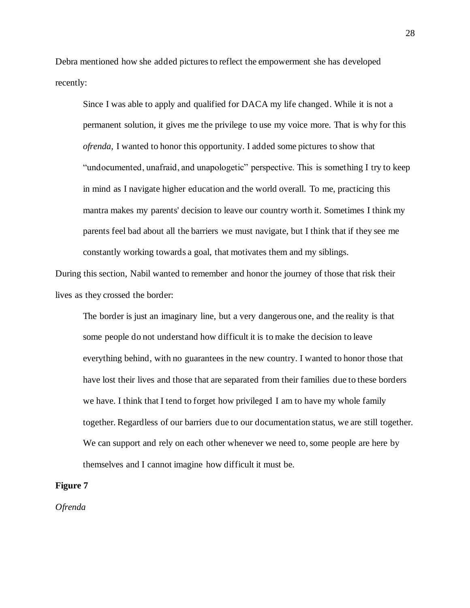Debra mentioned how she added pictures to reflect the empowerment she has developed recently:

Since I was able to apply and qualified for DACA my life changed. While it is not a permanent solution, it gives me the privilege to use my voice more. That is why for this *ofrenda,* I wanted to honor this opportunity. I added some pictures to show that "undocumented, unafraid, and unapologetic" perspective. This is something I try to keep in mind as I navigate higher education and the world overall. To me, practicing this mantra makes my parents' decision to leave our country worth it. Sometimes I think my parents feel bad about all the barriers we must navigate, but I think that if they see me constantly working towards a goal, that motivates them and my siblings.

During this section, Nabil wanted to remember and honor the journey of those that risk their lives as they crossed the border:

The border is just an imaginary line, but a very dangerous one, and the reality is that some people do not understand how difficult it is to make the decision to leave everything behind, with no guarantees in the new country. I wanted to honor those that have lost their lives and those that are separated from their families due to these borders we have. I think that I tend to forget how privileged I am to have my whole family together. Regardless of our barriers due to our documentation status, we are still together. We can support and rely on each other whenever we need to, some people are here by themselves and I cannot imagine how difficult it must be.

## **Figure 7**

*Ofrenda*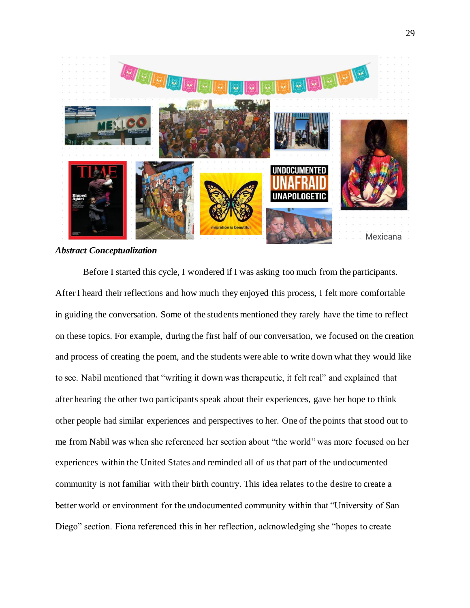

*Abstract Conceptualization* 

Before I started this cycle, I wondered if I was asking too much from the participants. After I heard their reflections and how much they enjoyed this process, I felt more comfortable in guiding the conversation. Some of the students mentioned they rarely have the time to reflect on these topics. For example, during the first half of our conversation, we focused on the creation and process of creating the poem, and the students were able to write down what they would like to see. Nabil mentioned that "writing it down was therapeutic, it felt real" and explained that after hearing the other two participants speak about their experiences, gave her hope to think other people had similar experiences and perspectives to her. One of the points that stood out to me from Nabil was when she referenced her section about "the world" was more focused on her experiences within the United States and reminded all of us that part of the undocumented community is not familiar with their birth country. This idea relates to the desire to create a better world or environment for the undocumented community within that "University of San Diego" section. Fiona referenced this in her reflection, acknowledging she "hopes to create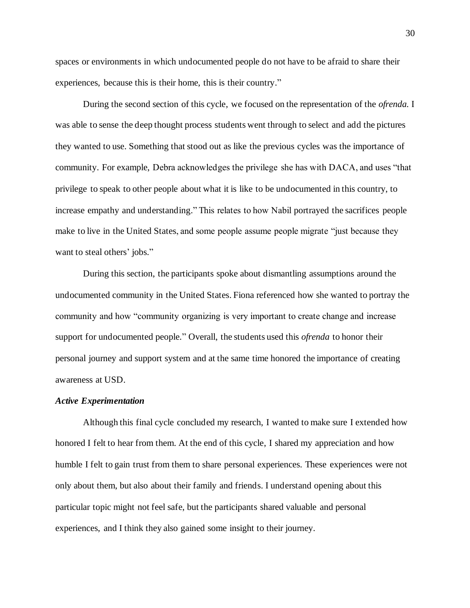spaces or environments in which undocumented people do not have to be afraid to share their experiences, because this is their home, this is their country."

During the second section of this cycle, we focused on the representation of the *ofrenda.* I was able to sense the deep thought process students went through to select and add the pictures they wanted to use. Something that stood out as like the previous cycles was the importance of community. For example, Debra acknowledges the privilege she has with DACA, and uses "that privilege to speak to other people about what it is like to be undocumented in this country, to increase empathy and understanding." This relates to how Nabil portrayed the sacrifices people make to live in the United States, and some people assume people migrate "just because they want to steal others' jobs."

During this section, the participants spoke about dismantling assumptions around the undocumented community in the United States. Fiona referenced how she wanted to portray the community and how "community organizing is very important to create change and increase support for undocumented people." Overall, the students used this *ofrenda* to honor their personal journey and support system and at the same time honored the importance of creating awareness at USD.

## *Active Experimentation*

Although this final cycle concluded my research, I wanted to make sure I extended how honored I felt to hear from them. At the end of this cycle, I shared my appreciation and how humble I felt to gain trust from them to share personal experiences. These experiences were not only about them, but also about their family and friends. I understand opening about this particular topic might not feel safe, but the participants shared valuable and personal experiences, and I think they also gained some insight to their journey.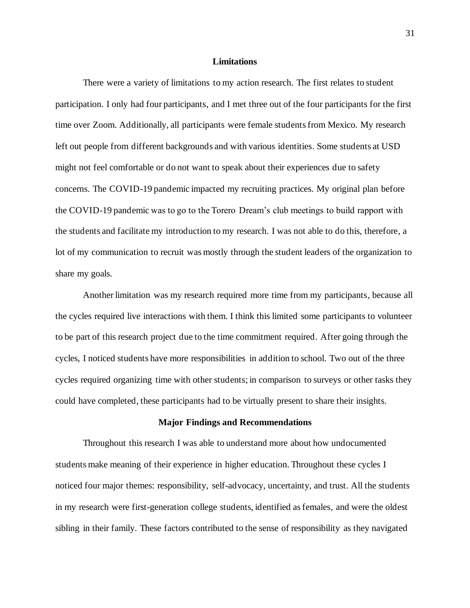### **Limitations**

There were a variety of limitations to my action research. The first relates to student participation. I only had four participants, and I met three out of the four participants for the first time over Zoom. Additionally, all participants were female students from Mexico. My research left out people from different backgrounds and with various identities. Some students at USD might not feel comfortable or do not want to speak about their experiences due to safety concerns. The COVID-19 pandemic impacted my recruiting practices. My original plan before the COVID-19 pandemic was to go to the Torero Dream's club meetings to build rapport with the students and facilitate my introduction to my research. I was not able to do this, therefore, a lot of my communication to recruit was mostly through the student leaders of the organization to share my goals.

Another limitation was my research required more time from my participants, because all the cycles required live interactions with them. I think this limited some participants to volunteer to be part of this research project due to the time commitment required. After going through the cycles, I noticed students have more responsibilities in addition to school. Two out of the three cycles required organizing time with other students; in comparison to surveys or other tasks they could have completed, these participants had to be virtually present to share their insights.

## **Major Findings and Recommendations**

Throughout this research I was able to understand more about how undocumented students make meaning of their experience in higher education. Throughout these cycles I noticed four major themes: responsibility, self-advocacy, uncertainty, and trust. All the students in my research were first-generation college students, identified as females, and were the oldest sibling in their family. These factors contributed to the sense of responsibility as they navigated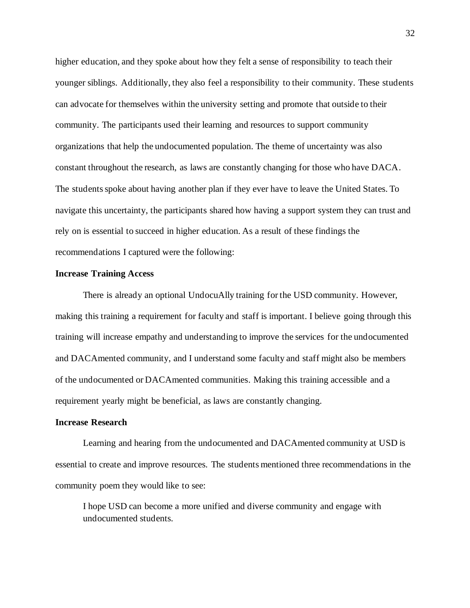higher education, and they spoke about how they felt a sense of responsibility to teach their younger siblings. Additionally, they also feel a responsibility to their community. These students can advocate for themselves within the university setting and promote that outside to their community. The participants used their learning and resources to support community organizations that help the undocumented population. The theme of uncertainty was also constant throughout the research, as laws are constantly changing for those who have DACA. The students spoke about having another plan if they ever have to leave the United States. To navigate this uncertainty, the participants shared how having a support system they can trust and rely on is essential to succeed in higher education. As a result of these findings the recommendations I captured were the following:

### **Increase Training Access**

There is already an optional UndocuAlly training for the USD community. However, making this training a requirement for faculty and staff is important. I believe going through this training will increase empathy and understanding to improve the services for the undocumented and DACAmented community, and I understand some faculty and staff might also be members of the undocumented or DACAmented communities. Making this training accessible and a requirement yearly might be beneficial, as laws are constantly changing.

# **Increase Research**

Learning and hearing from the undocumented and DACAmented community at USD is essential to create and improve resources. The students mentioned three recommendations in the community poem they would like to see:

I hope USD can become a more unified and diverse community and engage with undocumented students.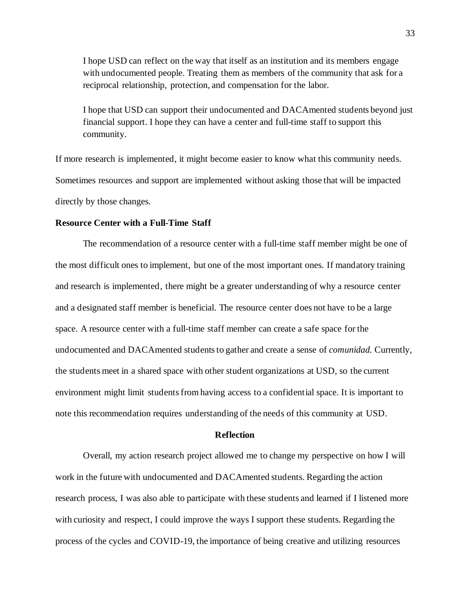I hope USD can reflect on the way that itself as an institution and its members engage with undocumented people. Treating them as members of the community that ask for a reciprocal relationship, protection, and compensation for the labor.

I hope that USD can support their undocumented and DACAmented students beyond just financial support. I hope they can have a center and full-time staff to support this community.

If more research is implemented, it might become easier to know what this community needs. Sometimes resources and support are implemented without asking those that will be impacted directly by those changes.

## **Resource Center with a Full-Time Staff**

The recommendation of a resource center with a full-time staff member might be one of the most difficult ones to implement, but one of the most important ones. If mandatory training and research is implemented, there might be a greater understanding of why a resource center and a designated staff member is beneficial. The resource center does not have to be a large space. A resource center with a full-time staff member can create a safe space for the undocumented and DACAmented students to gather and create a sense of *comunidad.* Currently, the students meet in a shared space with other student organizations at USD, so the current environment might limit students from having access to a confidential space. It is important to note this recommendation requires understanding of the needs of this community at USD.

# **Reflection**

Overall, my action research project allowed me to change my perspective on how I will work in the future with undocumented and DACAmented students. Regarding the action research process, I was also able to participate with these students and learned if I listened more with curiosity and respect, I could improve the ways I support these students. Regarding the process of the cycles and COVID-19, the importance of being creative and utilizing resources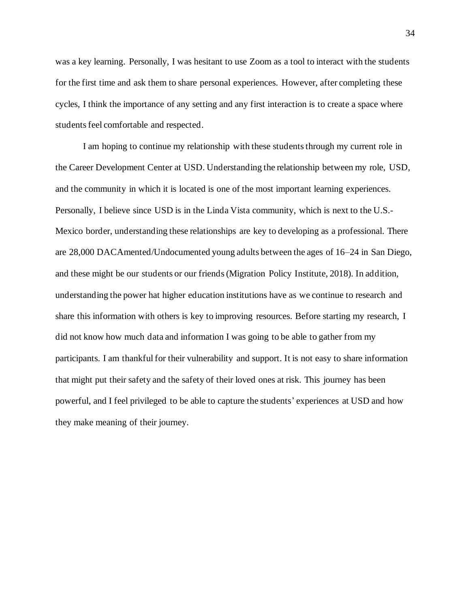was a key learning. Personally, I was hesitant to use Zoom as a tool to interact with the students for the first time and ask them to share personal experiences. However, after completing these cycles, I think the importance of any setting and any first interaction is to create a space where students feel comfortable and respected.

I am hoping to continue my relationship with these students through my current role in the Career Development Center at USD. Understanding the relationship between my role, USD, and the community in which it is located is one of the most important learning experiences. Personally, I believe since USD is in the Linda Vista community, which is next to the U.S.- Mexico border, understanding these relationships are key to developing as a professional. There are 28,000 DACAmented/Undocumented young adults between the ages of 16–24 in San Diego, and these might be our students or our friends (Migration Policy Institute, 2018). In addition, understanding the power hat higher education institutions have as we continue to research and share this information with others is key to improving resources. Before starting my research, I did not know how much data and information I was going to be able to gather from my participants. I am thankful for their vulnerability and support. It is not easy to share information that might put their safety and the safety of their loved ones at risk. This journey has been powerful, and I feel privileged to be able to capture the students' experiences at USD and how they make meaning of their journey.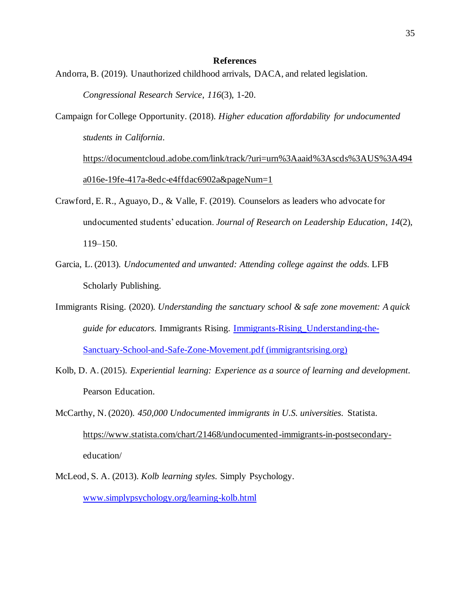### **References**

- Andorra, B. (2019). Unauthorized childhood arrivals, DACA, and related legislation. *Congressional Research Service*, *116*(3), 1-20.
- Campaign for College Opportunity. (2018). *Higher education affordability for undocumented students in California*.

[https://documentcloud.adobe.com/link/track/?uri=urn%3Aaaid%3Ascds%3AUS%3A494](https://documentcloud.adobe.com/link/track/?uri=urn%3Aaaid%3Ascds%3AUS%3A494a016e-19fe-417a-8edc-e4ffdac6902a&pageNum=1) [a016e-19fe-417a-8edc-e4ffdac6902a&pageNum=1](https://documentcloud.adobe.com/link/track/?uri=urn%3Aaaid%3Ascds%3AUS%3A494a016e-19fe-417a-8edc-e4ffdac6902a&pageNum=1)

- Crawford, E. R., Aguayo, D., & Valle, F. (2019). Counselors as leaders who advocate for undocumented students' education. *Journal of Research on Leadership Education*, *14*(2), 119–150.
- Garcia, L. (2013). *Undocumented and unwanted: Attending college against the odds*. LFB Scholarly Publishing.
- Immigrants Rising. (2020). *Understanding the sanctuary school & safe zone movement: A quick guide for educators.* Immigrants Rising. [Immigrants-Rising\\_Understanding-the-](https://immigrantsrising.org/wp-content/uploads/Immigrants-Rising_Understanding-the-Sanctuary-School-and-Safe-Zone-Movement.pdf)[Sanctuary-School-and-Safe-Zone-Movement.pdf \(immigrantsrising.org\)](https://immigrantsrising.org/wp-content/uploads/Immigrants-Rising_Understanding-the-Sanctuary-School-and-Safe-Zone-Movement.pdf)
- Kolb, D. A. (2015). *Experiential learning: Experience as a source of learning and development*. Pearson Education.
- McCarthy, N. (2020). *450,000 Undocumented immigrants in U.S. universities*. Statista. [https://www.statista.com/chart/21468/undocumented-immigrants-in-postsecondary](https://www.statista.com/chart/21468/undocumented-immigrants-in-postsecondary-)education/
- McLeod, S. A. (2013). *Kolb learning styles*. Simply Psychology. [www.simplypsychology.org/learning-kolb.html](http://www.simplypsychology.org/learning-kolb.html)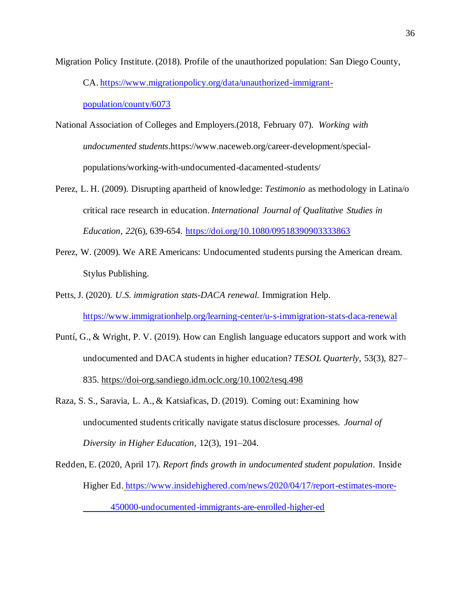Migration Policy Institute. (2018). Profile of the unauthorized population: San Diego County,

CA[. https://www.migrationpolicy.org/data/unauthorized-immigrant-](https://www.migrationpolicy.org/data/unauthorized-immigrant-population/county/6073)

[population/county/6073](https://www.migrationpolicy.org/data/unauthorized-immigrant-population/county/6073)

- National Association of Colleges and Employers.(2018, February 07). *Working with undocumented students*.https://www.naceweb.org/career-development/specialpopulations/working-with-undocumented-dacamented-students/
- Perez, L. H. (2009). Disrupting apartheid of knowledge: *Testimonio* as methodology in Latina/o critical race research in education. *International Journal of Qualitative Studies in Education*, *22*(6), 639-654. <https://doi.org/10.1080/09518390903333863>
- Perez, W. (2009). We ARE Americans: Undocumented students pursing the American dream. Stylus Publishing.
- Petts, J. (2020). *U.S. immigration stats-DACA renewal*. Immigration Help. <https://www.immigrationhelp.org/learning-center/u-s-immigration-stats-daca-renewal>
- Puntí, G., & Wright, P. V. (2019). How can English language educators support and work with undocumented and DACA students in higher education? *TESOL Quarterly*, 53(3), 827– 835.<https://doi-org.sandiego.idm.oclc.org/10.1002/tesq.498>
- Raza, S. S., Saravia, L. A., & Katsiaficas, D. (2019). Coming out: Examining how undocumented students critically navigate status disclosure processes. *Journal of Diversity in Higher Education*, 12(3), 191–204.
- Redden, E. (2020, April 17). *Report finds growth in undocumented student population*. Inside Higher Ed*.* [https://www.insidehighered.com/news/2020/04/17/report-estimates-more-](https://www.insidehighered.com/news/2020/04/17/report-estimates-more-%09450000-undocumented-immigrants-are-enrolled-higher-ed)[450000-undocumented-immigrants-are-enrolled-higher-ed](https://www.insidehighered.com/news/2020/04/17/report-estimates-more-%09450000-undocumented-immigrants-are-enrolled-higher-ed)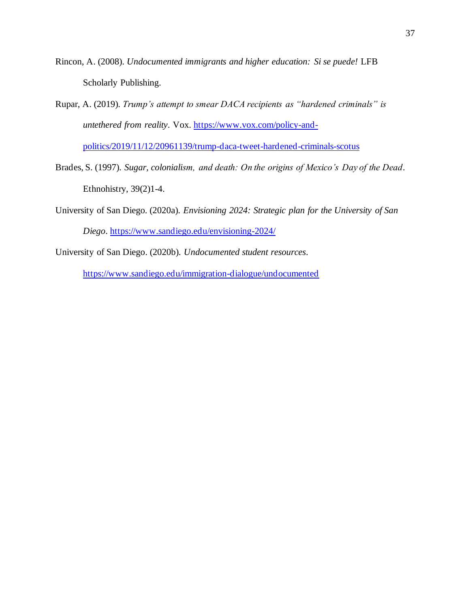- Rincon, A. (2008). *Undocumented immigrants and higher education: Si se puede!* LFB Scholarly Publishing.
- Rupar, A. (2019). *Trump's attempt to smear DACA recipients as "hardened criminals" is untethered from reality*. Vox. [https://www.vox.com/policy-and-](https://www.vox.com/policy-and-politics/2019/11/12/20961139/trump-daca-tweet-hardened-criminals-scotus)

[politics/2019/11/12/20961139/trump-daca-tweet-hardened-criminals-scotus](https://www.vox.com/policy-and-politics/2019/11/12/20961139/trump-daca-tweet-hardened-criminals-scotus)

- Brades, S. (1997). *Sugar, colonialism, and death: On the origins of Mexico's Day of the Dead*. Ethnohistry, 39(2)1-4.
- University of San Diego. (2020a). *Envisioning 2024: Strategic plan for the University of San Diego*. <https://www.sandiego.edu/envisioning-2024/>
- University of San Diego. (2020b). *Undocumented student resources*.

<https://www.sandiego.edu/immigration-dialogue/undocumented>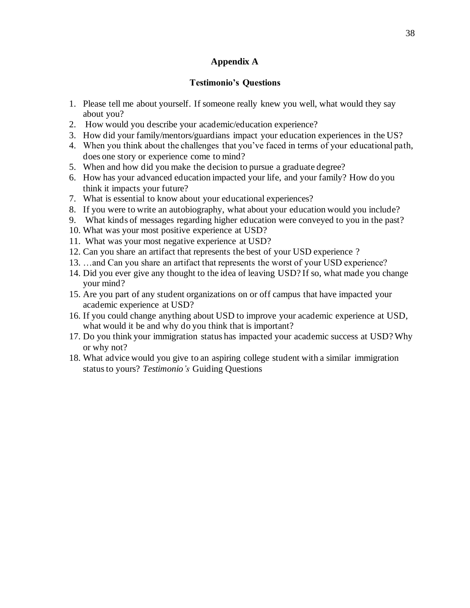# **Appendix A**

# **Testimonio's Questions**

- 1. Please tell me about yourself. If someone really knew you well, what would they say about you?
- 2. How would you describe your academic/education experience?
- 3. How did your family/mentors/guardians impact your education experiences in the US?
- 4. When you think about the challenges that you've faced in terms of your educational path, does one story or experience come to mind?
- 5. When and how did you make the decision to pursue a graduate degree?
- 6. How has your advanced education impacted your life, and your family? How do you think it impacts your future?
- 7. What is essential to know about your educational experiences?
- 8. If you were to write an autobiography, what about your education would you include?
- 9. What kinds of messages regarding higher education were conveyed to you in the past?
- 10. What was your most positive experience at USD?
- 11. What was your most negative experience at USD?
- 12. Can you share an artifact that represents the best of your USD experience ?
- 13. …and Can you share an artifact that represents the worst of your USD experience?
- 14. Did you ever give any thought to the idea of leaving USD? If so, what made you change your mind?
- 15. Are you part of any student organizations on or off campus that have impacted your academic experience at USD?
- 16. If you could change anything about USD to improve your academic experience at USD, what would it be and why do you think that is important?
- 17. Do you think your immigration status has impacted your academic success at USD? Why or why not?
- 18. What advice would you give to an aspiring college student with a similar immigration status to yours? *Testimonio's* Guiding Questions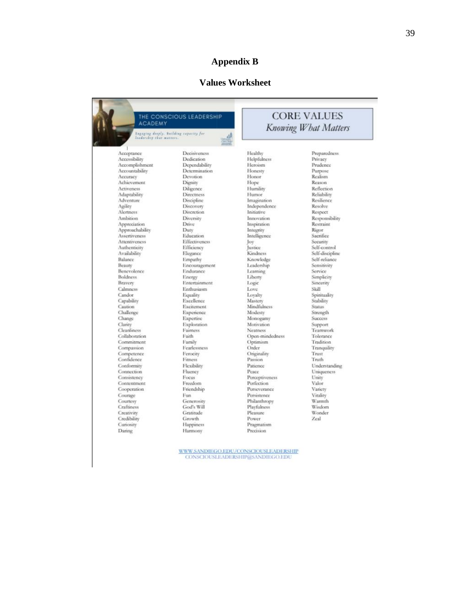# **Appendix B**

# **Values Worksheet**

| <b>ACADEMY</b>           | THE CONSCIOUS LEADERSHIP               |                               | <b>CORE VALUES</b><br><b>Knowing What Matters</b> |  |  |
|--------------------------|----------------------------------------|-------------------------------|---------------------------------------------------|--|--|
| leadership that matters. | Engaging deeply. Building capacity for |                               |                                                   |  |  |
| Acceptance               | Decisiveness                           | Healthy                       | Preparedness                                      |  |  |
| Accessibility            | Dedication                             | Helpfulness                   | Privacy                                           |  |  |
| Accomplishment           | Dependability                          | Heroism                       | Prudence                                          |  |  |
| Accountability           | Determination                          | Honesty                       | Purpose                                           |  |  |
| Accuracy                 | <b>Devotion</b>                        | Honor                         | Realism                                           |  |  |
| Achievement              | Dignity                                | Hope                          | Reason                                            |  |  |
| Activeness               | Diligence                              | Humility                      | Reflection                                        |  |  |
| Adaptability             | Directness                             | Humor                         | Reliability                                       |  |  |
| Adventure                | Discipline                             | Imagination                   | Resilience                                        |  |  |
| Agility                  | Discovery                              | Independence                  | <b>Resolve</b>                                    |  |  |
| <b>Alertness</b>         | Discretion                             | Initiative                    | Respect                                           |  |  |
| Ambition                 | Diversity                              | Innovation                    | Responsibility                                    |  |  |
| Appreciation             | Drive                                  | Inspiration                   | Restraint                                         |  |  |
| Approachability          | Duty                                   | Integrity                     | Rigor                                             |  |  |
| Assertiveness            | Education                              | Intelligence                  | Sacrifice                                         |  |  |
| Attentiveness            | <b>Effectiveness</b>                   | Joy                           | Security                                          |  |  |
| Authenticity             | Efficiency                             | <b>Justice</b>                | Self-control                                      |  |  |
| Availability             | Elegance                               | Kindness                      | Self-discipline                                   |  |  |
| Balance                  | Empathy                                | Knowledge                     | Self-reliance                                     |  |  |
| Beauty                   | Encouragement                          | Leadership                    | Sensitivity                                       |  |  |
| <b>Benevolence</b>       | Endurance                              | Learning                      | Service                                           |  |  |
| Boldness                 | Energy                                 | Liberty                       | Simplicity                                        |  |  |
| Bravery                  | Entertainment                          | Logic                         | Sincerity                                         |  |  |
| Calmness                 | Enthusiasm                             | Love                          | Skill                                             |  |  |
| Candor                   | Equality                               | Lovalty                       | Spirituality                                      |  |  |
| Capability               | Excellence<br>Excitement               | Mastery                       | Stability                                         |  |  |
| Caution<br>Challenge     |                                        | <b>Mindfulness</b><br>Modesty | <b>Status</b>                                     |  |  |
| Change                   | Experience<br>Expertise                | Monogamy                      | Strength<br><b>Success</b>                        |  |  |
| Clarity                  | Exploration                            | Motivation                    | Support                                           |  |  |
| Cleanliness              | Fairness                               | <b>Neatness</b>               | Teamwork                                          |  |  |
| Collaboration            | Faith                                  | Open-mindedness               | Tolerance                                         |  |  |
| Commitment               | Family                                 | Optimism                      | Tradition                                         |  |  |
| Compassion               | Fearlessness                           | Order                         | Tranquility                                       |  |  |
| Competence               | Ferocity                               | Originality                   | Trust                                             |  |  |
| Confidence               | Fitness                                | Passion                       | Truth                                             |  |  |
| Conformity               | Flexibility                            | Patience                      | Understanding                                     |  |  |
| Connection               | Fluency                                | Peace                         | Uniqueness                                        |  |  |
| Consistency              | Focus                                  | Perceptiveness                | Unity                                             |  |  |
| Contentment              | Freedom                                | Perfection                    | Valor                                             |  |  |
| Cooperation              | Friendship                             | Perseverance                  | Variety                                           |  |  |
| Courage                  | Fun                                    | Persistence                   | Vitality                                          |  |  |
| Courtesy                 | Generosity                             | Philanthropy                  | Warmth                                            |  |  |
| Craftiness               | God's Will                             | Playfulness                   | Wisdom                                            |  |  |
| Creativity               | Gratitude                              | Pleasure                      | Wonder                                            |  |  |
| Credibility              | Growth                                 | Power                         | Zeal                                              |  |  |
| Curiosity                | Happiness                              | Pragmatism<br>Precision       |                                                   |  |  |

 $\frac{\textbf{WWW} \textbf{SANDIEGO.EDU/CONSCIOUSLEADERSHIP}}{\textbf{CONSCIOUSLEADERSHIP@SANDIEGO EDU}}$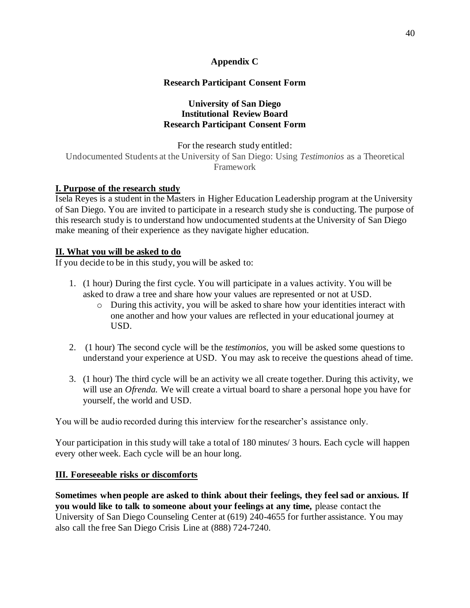# **Appendix C**

# **Research Participant Consent Form**

# **University of San Diego Institutional Review Board Research Participant Consent Form**

For the research study entitled: Undocumented Students at the University of San Diego: Using *Testimonios* as a Theoretical Framework

# **I. Purpose of the research study**

Isela Reyes is a student in the Masters in Higher Education Leadership program at the University of San Diego. You are invited to participate in a research study she is conducting. The purpose of this research study is to understand how undocumented students at the University of San Diego make meaning of their experience as they navigate higher education.

# **II. What you will be asked to do**

If you decide to be in this study, you will be asked to:

- 1. (1 hour) During the first cycle. You will participate in a values activity. You will be asked to draw a tree and share how your values are represented or not at USD.
	- o During this activity, you will be asked to share how your identities interact with one another and how your values are reflected in your educational journey at USD.
- 2. (1 hour) The second cycle will be the *testimonios*, you will be asked some questions to understand your experience at USD. You may ask to receive the questions ahead of time.
- 3. (1 hour) The third cycle will be an activity we all create together. During this activity, we will use an *Ofrenda.* We will create a virtual board to share a personal hope you have for yourself, the world and USD.

You will be audio recorded during this interview for the researcher's assistance only.

Your participation in this study will take a total of 180 minutes/ 3 hours. Each cycle will happen every other week. Each cycle will be an hour long.

# **III. Foreseeable risks or discomforts**

**Sometimes when people are asked to think about their feelings, they feel sad or anxious. If you would like to talk to someone about your feelings at any time,** please contact the University of San Diego Counseling Center at (619) 240-4655 for further assistance. You may also call the free San Diego Crisis Line at (888) 724-7240.